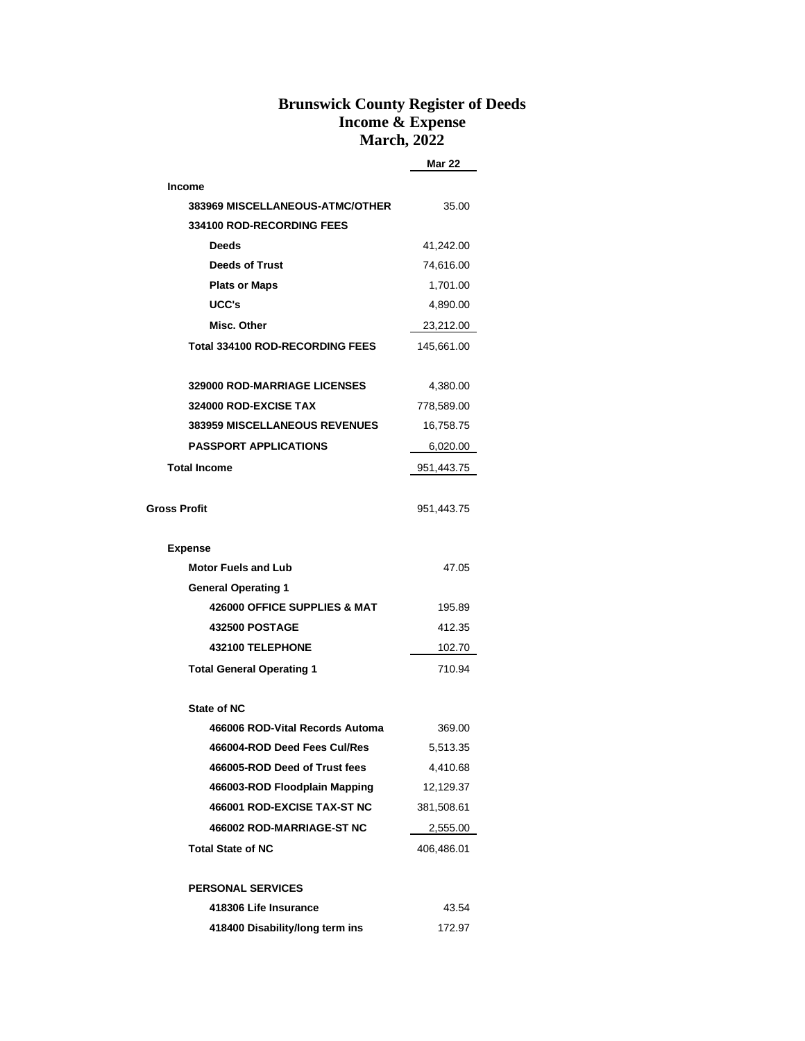## **Brunswick County Register of Deeds Income & Expense March, 2022**

**Mar 22**

| <b>Income</b>                        |            |  |  |  |
|--------------------------------------|------------|--|--|--|
| 383969 MISCELLANEOUS-ATMC/OTHER      | 35.00      |  |  |  |
| <b>334100 ROD-RECORDING FEES</b>     |            |  |  |  |
| <b>Deeds</b>                         | 41,242.00  |  |  |  |
| <b>Deeds of Trust</b>                | 74,616.00  |  |  |  |
| <b>Plats or Maps</b>                 | 1,701.00   |  |  |  |
| UCC's                                | 4,890.00   |  |  |  |
| Misc. Other                          | 23,212.00  |  |  |  |
| Total 334100 ROD-RECORDING FEES      | 145,661.00 |  |  |  |
|                                      |            |  |  |  |
| <b>329000 ROD-MARRIAGE LICENSES</b>  | 4,380.00   |  |  |  |
| 324000 ROD-EXCISE TAX                | 778,589.00 |  |  |  |
| <b>383959 MISCELLANEOUS REVENUES</b> | 16,758.75  |  |  |  |
| <b>PASSPORT APPLICATIONS</b>         | 6,020.00   |  |  |  |
| <b>Total Income</b>                  | 951,443.75 |  |  |  |
|                                      |            |  |  |  |
| <b>Gross Profit</b>                  | 951,443.75 |  |  |  |
|                                      |            |  |  |  |
| <b>Expense</b>                       |            |  |  |  |
| <b>Motor Fuels and Lub</b>           | 47.05      |  |  |  |
| <b>General Operating 1</b>           |            |  |  |  |
| 426000 OFFICE SUPPLIES & MAT         | 195.89     |  |  |  |
| <b>432500 POSTAGE</b>                | 412.35     |  |  |  |
| 432100 TELEPHONE                     | 102.70     |  |  |  |
| <b>Total General Operating 1</b>     | 710.94     |  |  |  |
|                                      |            |  |  |  |
| <b>State of NC</b>                   |            |  |  |  |
| 466006 ROD-Vital Records Automa      | 369.00     |  |  |  |
| 466004-ROD Deed Fees Cul/Res         | 5,513.35   |  |  |  |
| 466005-ROD Deed of Trust fees        | 4,410.68   |  |  |  |
| 466003-ROD Floodplain Mapping        | 12,129.37  |  |  |  |
| 466001 ROD-EXCISE TAX-ST NC          | 381,508.61 |  |  |  |
| 466002 ROD-MARRIAGE-ST NC            | 2,555.00   |  |  |  |
| <b>Total State of NC</b>             | 406,486.01 |  |  |  |
|                                      |            |  |  |  |
| <b>PERSONAL SERVICES</b>             |            |  |  |  |
| 418306 Life Insurance                | 43.54      |  |  |  |
| 418400 Disability/long term ins      | 172.97     |  |  |  |
|                                      |            |  |  |  |